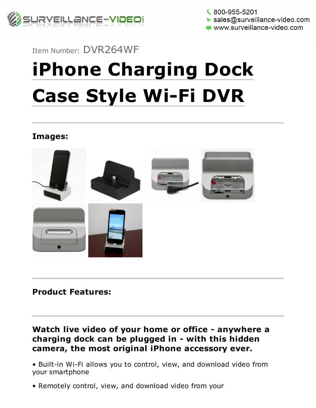

 $\frac{1}{2}$  800-955-5201 sales@surveillance-video.com www.surveillance-video.com

# Item Number: DVR264WF

# iPhone Charging Dock Case Style Wi-Fi DVR

Images:



Product Features:

Watch live video of your home or office - anywhere a charging dock can be plugged in - with this hidden camera, the most original iPhone accessory ever.

• Built-in Wi-Fi allows you to control, view, and download video from your smartphone

• Remotely control, view, and download video from your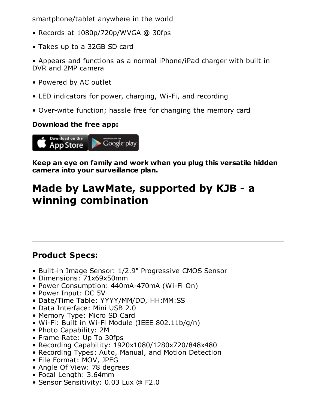smartphone/tablet anywhere in the world

- Records at 1080p/720p/WVGA @ 30fps
- Takes up to a 32GB SD card

• Appears and functions as a normal iPhone/iPad charger with built in DVR and 2MP camera

- Powered by AC outlet
- LED indicators for power, charging, Wi-Fi, and recording
- Over-write function; hassle free for changing the memory card

#### Download the free app:



Keep an eye on family and work when you plug this versatile hidden camera into your surveillance plan.

# Made by LawMate, supported by KJB - a winning combination

### Product Specs:

- Built-in Image Sensor: 1/2.9" Progressive CMOS Sensor
- Dimensions: 71x69x50mm
- Power Consumption: 440mA-470mA (Wi-Fi On)
- Power Input: DC 5V
- Date/Time Table: YYYY/MM/DD, HH:MM:SS
- Data Interface: Mini USB 2.0
- Memory Type: Micro SD Card
- Wi-Fi: Built in Wi-Fi Module (IEEE 802.11b/g/n)
- Photo Capability: 2M
- Frame Rate: Up To 30fps
- Recording Capability: 1920x1080/1280x720/848x480
- Recording Types: Auto, Manual, and Motion Detection
- File Format: MOV, JPEG
- Angle Of View: 78 degrees
- Focal Length: 3.64mm
- Sensor Sensitivity: 0.03 Lux @ F2.0